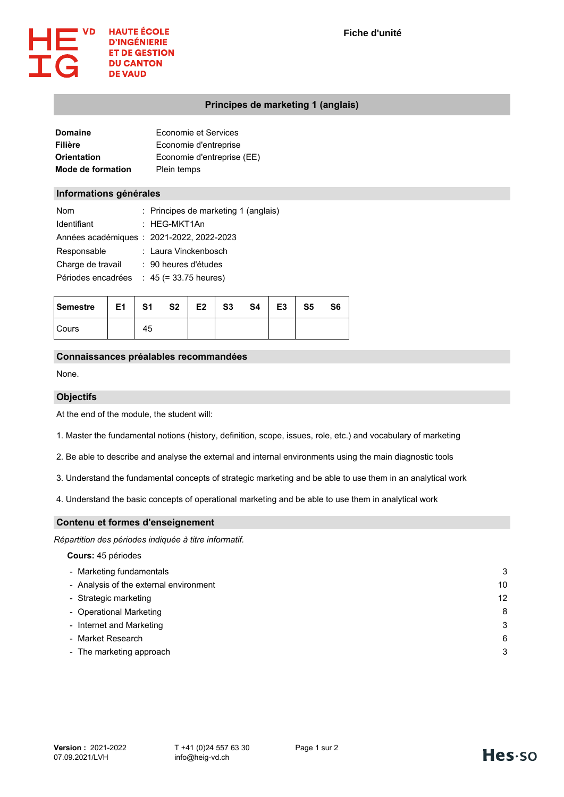

# **Principes de marketing 1 (anglais)**

| Domaine                  | Economie et Services       |
|--------------------------|----------------------------|
| Filière                  | Economie d'entreprise      |
| Orientation              | Economie d'entreprise (EE) |
| <b>Mode de formation</b> | Plein temps                |

## **Informations générales**

| <b>Nom</b>         | : Principes de marketing 1 (anglais)      |
|--------------------|-------------------------------------------|
| Identifiant        | : HEG-MKT1An                              |
|                    | Années académiques : 2021-2022, 2022-2023 |
| Responsable        | : Laura Vinckenbosch                      |
| Charge de travail  | : 90 heures d'études                      |
| Périodes encadrées | $: 45 (= 33.75$ heures)                   |

| <b>Semestre</b> | E1 | S <sub>1</sub> | S <sub>2</sub> | E2 | S <sub>3</sub> | S4 | E <sub>3</sub> | S <sub>5</sub> | S6 |
|-----------------|----|----------------|----------------|----|----------------|----|----------------|----------------|----|
| Cours           |    | 45             |                |    |                |    |                |                |    |

## **Connaissances préalables recommandées**

None.

## **Objectifs**

At the end of the module, the student will:

1. Master the fundamental notions (history, definition, scope, issues, role, etc.) and vocabulary of marketing

2. Be able to describe and analyse the external and internal environments using the main diagnostic tools

3. Understand the fundamental concepts of strategic marketing and be able to use them in an analytical work

4. Understand the basic concepts of operational marketing and be able to use them in analytical work

## **Contenu et formes d'enseignement**

*Répartition des périodes indiquée à titre informatif.*

#### **Cours:** 45 périodes

| - Marketing fundamentals               | З  |
|----------------------------------------|----|
| - Analysis of the external environment | 10 |
| - Strategic marketing                  | 12 |
| - Operational Marketing                | 8  |
| - Internet and Marketing               | З  |
| - Market Research                      | 6  |
| - The marketing approach               | З  |
|                                        |    |